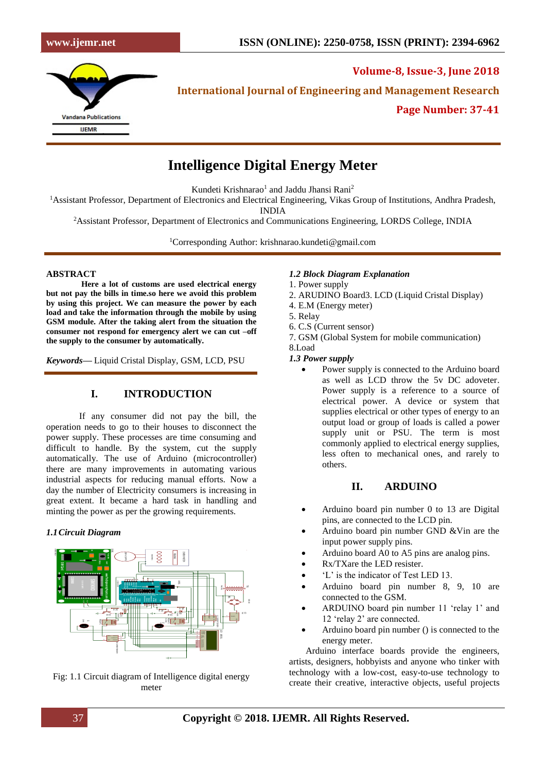

**Volume-8, Issue-3, June 2018 International Journal of Engineering and Management Research**

**Page Number: 37-41**

# **Intelligence Digital Energy Meter**

Kundeti Krishnarao<sup>1</sup> and Jaddu Jhansi Rani<sup>2</sup>

<sup>1</sup>Assistant Professor, Department of Electronics and Electrical Engineering, Vikas Group of Institutions, Andhra Pradesh,

INDIA

<sup>2</sup>Assistant Professor, Department of Electronics and Communications Engineering, LORDS College, INDIA

<sup>1</sup>Corresponding Author: krishnarao.kundeti@gmail.com

### **ABSTRACT**

**Here a lot of customs are used electrical energy but not pay the bills in time.so here we avoid this problem by using this project. We can measure the power by each load and take the information through the mobile by using GSM module. After the taking alert from the situation the consumer not respond for emergency alert we can cut –off the supply to the consumer by automatically.**

*Keywords***—** Liquid Cristal Display, GSM, LCD, PSU

# **I. INTRODUCTION**

If any consumer did not pay the bill, the operation needs to go to their houses to disconnect the power supply. These processes are time consuming and difficult to handle. By the system, cut the supply automatically. The use of Arduino (microcontroller) there are many improvements in automating various industrial aspects for reducing manual efforts. Now a day the number of Electricity consumers is increasing in great extent. It became a hard task in handling and minting the power as per the growing requirements.

#### *1.1Circuit Diagram*



Fig: 1.1 Circuit diagram of Intelligence digital energy meter

### *1.2 Block Diagram Explanation*

- 1. Power supply
- 2. ARUDINO Board3. LCD (Liquid Cristal Display)
- 4. E.M (Energy meter)
- 5. Relay
- 6. C.S (Current sensor)
- 7. GSM (Global System for mobile communication)
- 8.Load

## *1.3 Power supply*

Power supply is connected to the Arduino board as well as LCD throw the 5v DC adoveter. Power supply is a reference to a source of electrical power. A device or system that supplies electrical or other types of energy to an output load or group of loads is called a power supply unit or PSU. The term is most commonly applied to electrical energy supplies, less often to mechanical ones, and rarely to others.

## **II. ARDUINO**

- Arduino board pin number 0 to 13 are Digital pins, are connected to the LCD pin.
- Arduino board pin number GND &Vin are the input power supply pins.
- Arduino board A0 to A5 pins are analog pins.
- Rx/TXare the LED resister.
- 'L' is the indicator of Test LED 13.
- Arduino board pin number 8, 9, 10 are connected to the GSM.
- ARDUINO board pin number 11 'relay 1' and 12 'relay 2' are connected.
- Arduino board pin number () is connected to the energy meter.

Arduino interface boards provide the engineers, artists, designers, hobbyists and anyone who tinker with technology with a low-cost, easy-to-use technology to create their creative, interactive objects, useful projects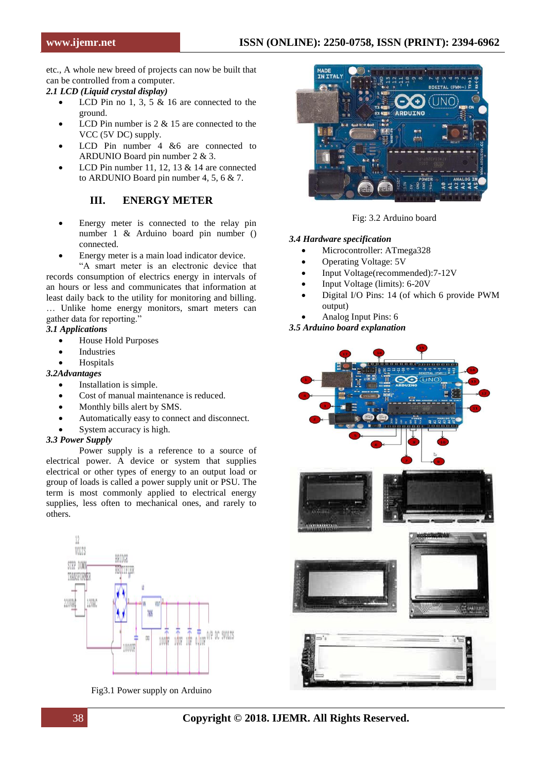etc., A whole new breed of projects can now be built that can be controlled from a computer.

*2.1 LCD (Liquid crystal display)*

- LCD Pin no 1, 3, 5  $\&$  16 are connected to the ground.
- LCD Pin number is  $2 \& 15$  are connected to the VCC (5V DC) supply.
- LCD Pin number 4 &6 are connected to ARDUNIO Board pin number 2 & 3.
- LCD Pin number 11, 12, 13  $&$  14 are connected to ARDUNIO Board pin number 4, 5, 6 & 7.

# **III. ENERGY METER**

- Energy meter is connected to the relay pin number 1 & Arduino board pin number () connected.
- Energy meter is a main load indicator device.

"A smart meter is an electronic device that records consumption of electrics energy in intervals of an hours or less and communicates that information at least daily back to the utility for monitoring and billing. … Unlike home energy monitors, smart meters can gather data for reporting."

#### *3.1 Applications*

- House Hold Purposes
- **Industries**
- **Hospitals**

#### *3.2Advantages*

- Installation is simple.
- Cost of manual maintenance is reduced.
- Monthly bills alert by SMS.
- Automatically easy to connect and disconnect.
- System accuracy is high.

#### *3.3 Power Supply*

Power supply is a reference to a source of electrical power. A device or system that supplies electrical or other types of energy to an output load or group of loads is called a power supply unit or PSU. The term is most commonly applied to electrical energy supplies, less often to mechanical ones, and rarely to others.



Fig3.1 Power supply on Arduino



Fig: 3.2 Arduino board

#### *3.4 Hardware specification*

- Microcontroller: ATmega328
- Operating Voltage: 5V
- Input Voltage(recommended):7-12V
- Input Voltage (limits): 6-20V
- Digital I/O Pins: 14 (of which 6 provide PWM output)
- Analog Input Pins: 6

*3.5 Arduino board explanation*

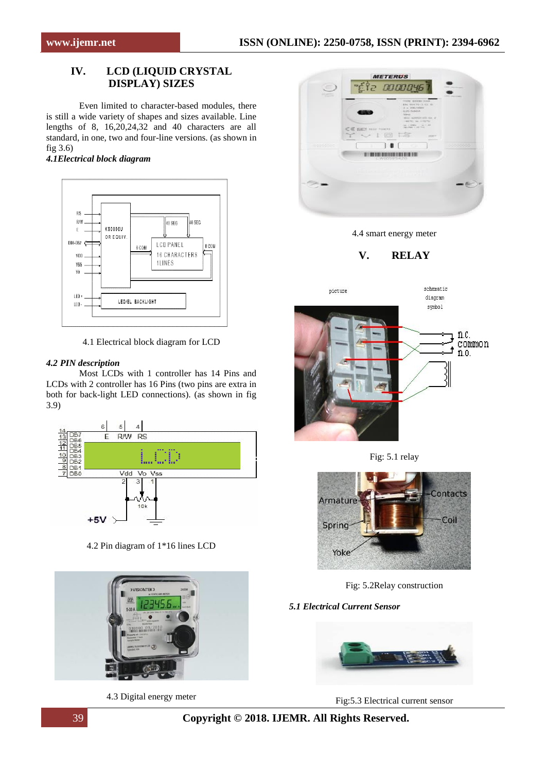# **IV. LCD (LIQUID CRYSTAL DISPLAY) SIZES**

Even limited to character-based modules, there is still a wide variety of shapes and sizes available. Line lengths of 8, 16,20,24,32 and 40 characters are all standard, in one, two and four-line versions. (as shown in fig 3.6)

*4.1Electrical block diagram*



4.1 Electrical block diagram for LCD

#### *4.2 PIN description*

Most LCDs with 1 controller has 14 Pins and LCDs with 2 controller has 16 Pins (two pins are extra in both for back-light LED connections). (as shown in fig 3.9)



4.2 Pin diagram of 1\*16 lines LCD



4.3 Digital energy meter



4.4 smart energy meter

**V. RELAY**



Fig: 5.1 relay



Fig: 5.2Relay construction

*5.1 Electrical Current Sensor*



Fig:5.3 Electrical current sensor

39 **Copyright © 2018. IJEMR. All Rights Reserved.**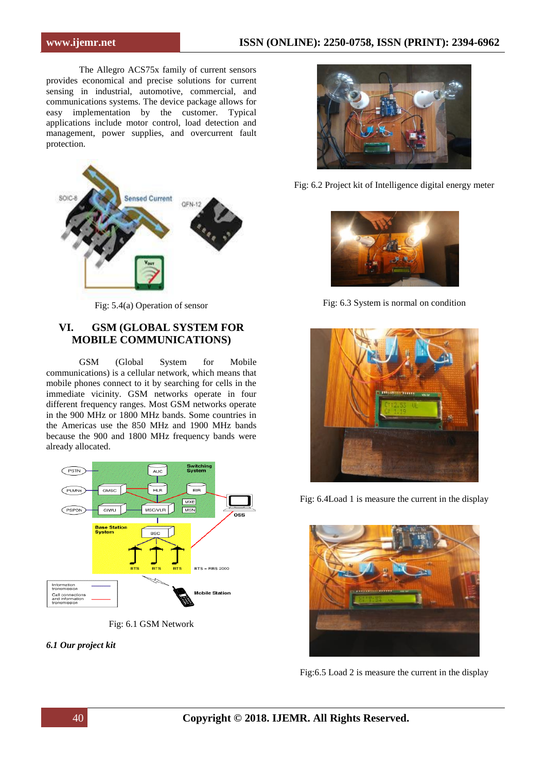The Allegro ACS75x family of current sensors provides economical and precise solutions for current sensing in industrial, automotive, commercial, and communications systems. The device package allows for easy implementation by the customer. Typical applications include motor control, load detection and management, power supplies, and overcurrent fault protection.



Fig: 5.4(a) Operation of sensor

# **VI. GSM (GLOBAL SYSTEM FOR MOBILE COMMUNICATIONS)**

GSM (Global System for Mobile communications) is a cellular network, which means that mobile phones connect to it by searching for cells in the immediate vicinity. GSM networks operate in four different frequency ranges. Most GSM networks operate in the 900 MHz or 1800 MHz bands. Some countries in the Americas use the 850 MHz and 1900 MHz bands because the 900 and 1800 MHz frequency bands were already allocated.



Fig: 6.1 GSM Network

*6.1 Our project kit*



Fig: 6.2 Project kit of Intelligence digital energy meter



Fig: 6.3 System is normal on condition



Fig: 6.4Load 1 is measure the current in the display



Fig:6.5 Load 2 is measure the current in the display